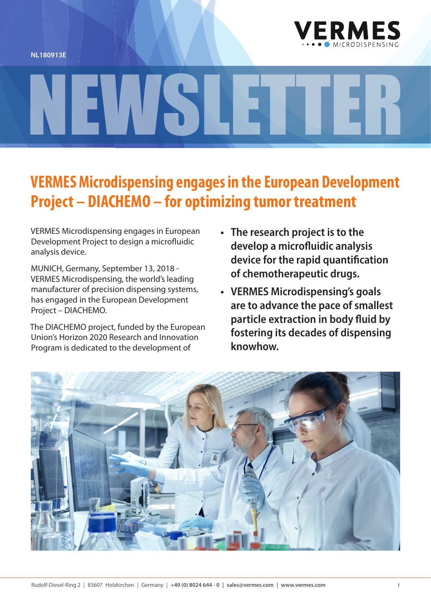



## NEWSLETTER

## **VERMES Microdispensing engages in the European Development Project – DIACHEMO – for optimizing tumor treatment**

VERMES Microdispensing engages in European Development Project to design a microfluidic analysis device.

MUNICH, Germany, September 13, 2018 - VERMES Microdispensing, the world's leading manufacturer of precision dispensing systems, has engaged in the European Development Project – DIACHEMO.

The DIACHEMO project, funded by the European Union's Horizon 2020 Research and Innovation Program is dedicated to the development of

- **• The research project is to the develop a microfluidic analysis device for the rapid quantification of chemotherapeutic drugs.**
- **• VERMES Microdispensing's goals are to advance the pace of smallest particle extraction in body fluid by fostering its decades of dispensing knowhow.**